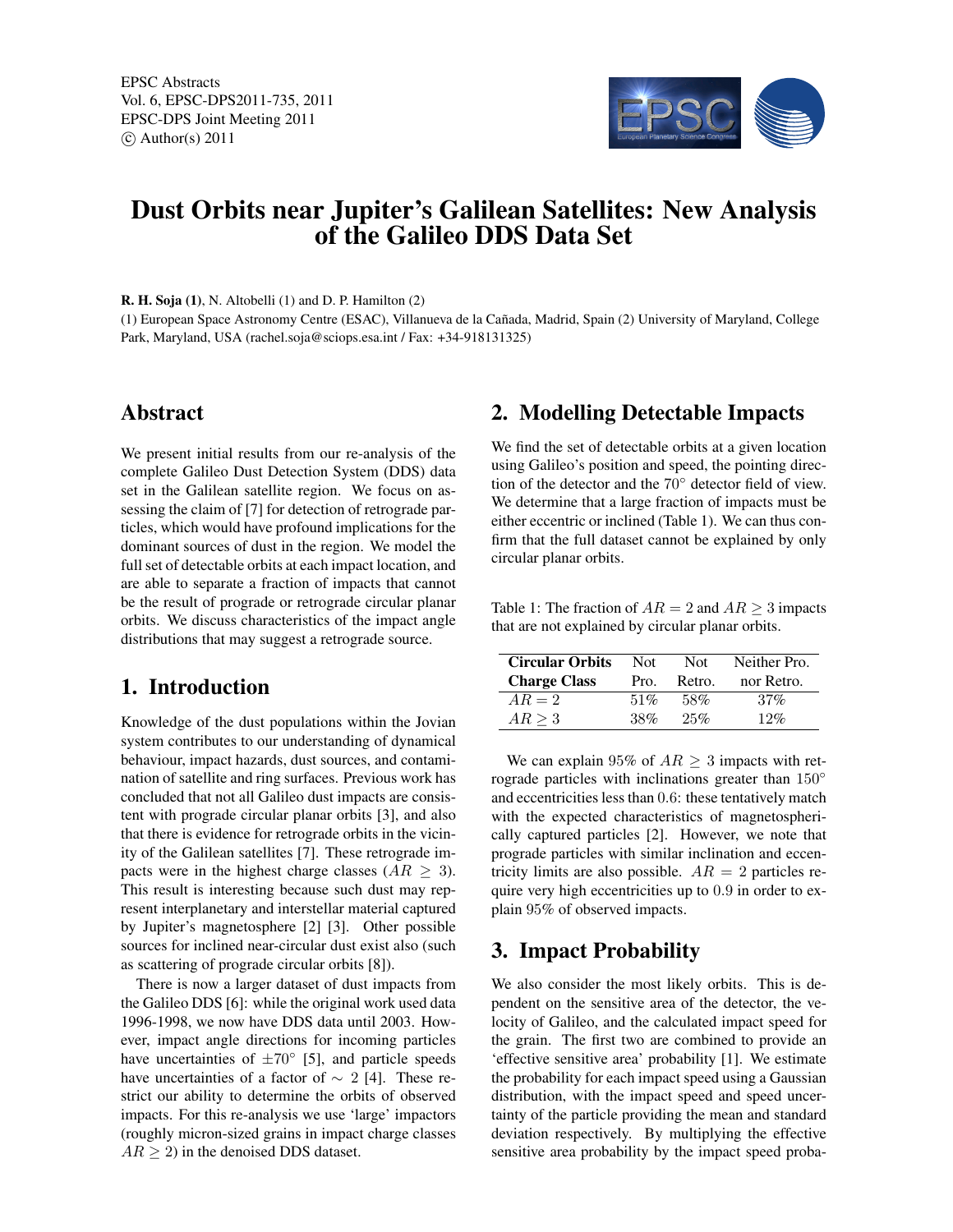EPSC Abstracts Vol. 6, EPSC-DPS2011-735, 2011 EPSC-DPS Joint Meeting 2011  $\circ$  Author(s) 2011



# Dust Orbits near Jupiter's Galilean Satellites: New Analysis of the Galileo DDS Data Set

R. H. Soja (1), N. Altobelli (1) and D. P. Hamilton (2)

(1) European Space Astronomy Centre (ESAC), Villanueva de la Cañada, Madrid, Spain (2) University of Maryland, College Park, Maryland, USA (rachel.soja@sciops.esa.int / Fax: +34-918131325)

## Abstract

We present initial results from our re-analysis of the complete Galileo Dust Detection System (DDS) data set in the Galilean satellite region. We focus on assessing the claim of [7] for detection of retrograde particles, which would have profound implications for the dominant sources of dust in the region. We model the full set of detectable orbits at each impact location, and are able to separate a fraction of impacts that cannot be the result of prograde or retrograde circular planar orbits. We discuss characteristics of the impact angle distributions that may suggest a retrograde source.

#### 1. Introduction

Knowledge of the dust populations within the Jovian system contributes to our understanding of dynamical behaviour, impact hazards, dust sources, and contamination of satellite and ring surfaces. Previous work has concluded that not all Galileo dust impacts are consistent with prograde circular planar orbits [3], and also that there is evidence for retrograde orbits in the vicinity of the Galilean satellites [7]. These retrograde impacts were in the highest charge classes ( $AR \geq 3$ ). This result is interesting because such dust may represent interplanetary and interstellar material captured by Jupiter's magnetosphere [2] [3]. Other possible sources for inclined near-circular dust exist also (such as scattering of prograde circular orbits [8]).

There is now a larger dataset of dust impacts from the Galileo DDS [6]: while the original work used data 1996-1998, we now have DDS data until 2003. However, impact angle directions for incoming particles have uncertainties of  $\pm 70^{\circ}$  [5], and particle speeds have uncertainties of a factor of  $\sim 2$  [4]. These restrict our ability to determine the orbits of observed impacts. For this re-analysis we use 'large' impactors (roughly micron-sized grains in impact charge classes  $AR \geq 2$ ) in the denoised DDS dataset.

## 2. Modelling Detectable Impacts

We find the set of detectable orbits at a given location using Galileo's position and speed, the pointing direction of the detector and the 70◦ detector field of view. We determine that a large fraction of impacts must be either eccentric or inclined (Table 1). We can thus confirm that the full dataset cannot be explained by only circular planar orbits.

Table 1: The fraction of  $AR = 2$  and  $AR \ge 3$  impacts that are not explained by circular planar orbits.

| <b>Circular Orbits</b><br><b>Charge Class</b> | Not.<br>Pro. | Not.<br>Retro. | Neither Pro.<br>nor Retro. |
|-----------------------------------------------|--------------|----------------|----------------------------|
| $AR = 2$                                      | 51%          | 58%            | $.37\%$                    |
| $AR \geq 3$                                   | 38%          | 25%            | 12%                        |

We can explain 95% of  $AR \geq 3$  impacts with retrograde particles with inclinations greater than 150◦ and eccentricities less than 0.6: these tentatively match with the expected characteristics of magnetospherically captured particles [2]. However, we note that prograde particles with similar inclination and eccentricity limits are also possible.  $AR = 2$  particles require very high eccentricities up to 0.9 in order to explain 95% of observed impacts.

#### 3. Impact Probability

We also consider the most likely orbits. This is dependent on the sensitive area of the detector, the velocity of Galileo, and the calculated impact speed for the grain. The first two are combined to provide an 'effective sensitive area' probability [1]. We estimate the probability for each impact speed using a Gaussian distribution, with the impact speed and speed uncertainty of the particle providing the mean and standard deviation respectively. By multiplying the effective sensitive area probability by the impact speed proba